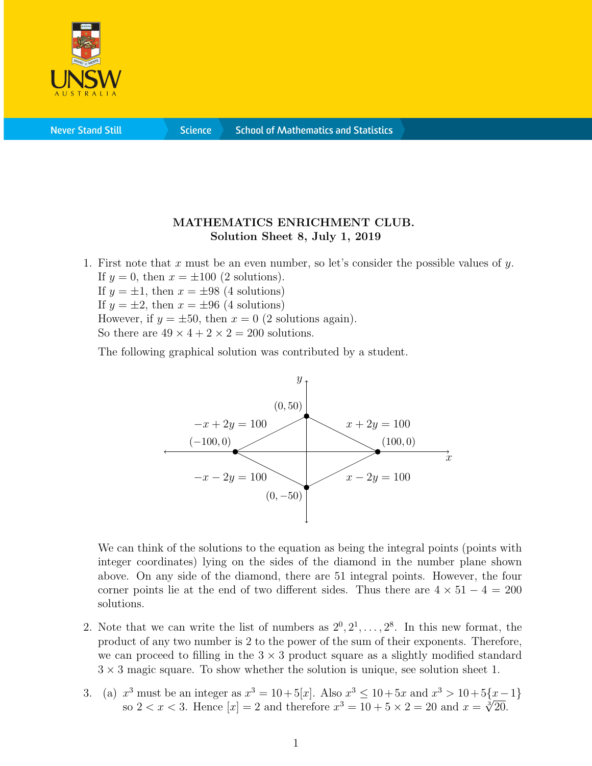

## MATHEMATICS ENRICHMENT CLUB. Solution Sheet 8, July 1, 2019

1. First note that x must be an even number, so let's consider the possible values of y. If  $y = 0$ , then  $x = \pm 100$  (2 solutions). If  $y = \pm 1$ , then  $x = \pm 98$  (4 solutions)

If  $y = \pm 2$ , then  $x = \pm 96$  (4 solutions)

However, if  $y = \pm 50$ , then  $x = 0$  (2 solutions again).

So there are  $49 \times 4 + 2 \times 2 = 200$  solutions.

The following graphical solution was contributed by a student.



We can think of the solutions to the equation as being the integral points (points with integer coordinates) lying on the sides of the diamond in the number plane shown above. On any side of the diamond, there are 51 integral points. However, the four corner points lie at the end of two different sides. Thus there are  $4 \times 51 - 4 = 200$ solutions.

- 2. Note that we can write the list of numbers as  $2^0, 2^1, \ldots, 2^8$ . In this new format, the product of any two number is 2 to the power of the sum of their exponents. Therefore, we can proceed to filling in the  $3 \times 3$  product square as a slightly modified standard  $3 \times 3$  magic square. To show whether the solution is unique, see solution sheet 1.
- 3. (a)  $x^3$  must be an integer as  $x^3 = 10 + 5[x]$ . Also  $x^3 \le 10 + 5x$  and  $x^3 > 10 + 5\{x 1\}$ x must be an integer as  $x^3 = 10 + 5|x|$ . Also  $x^3 \le 10 + 5x$  and  $x^3 > 10 + 5\{x - 5\}$ <br>so  $2 < x < 3$ . Hence  $[x] = 2$  and therefore  $x^3 = 10 + 5 \times 2 = 20$  and  $x = \sqrt[3]{20}$ .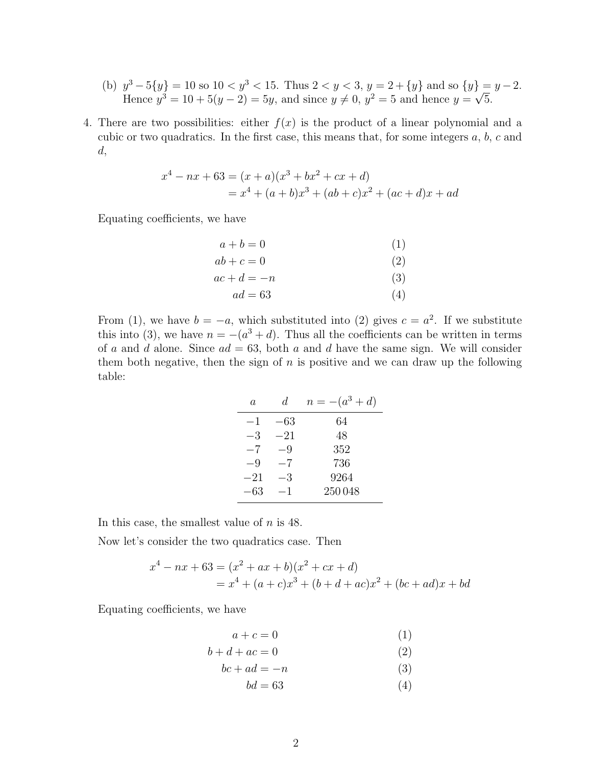- (b)  $y^3 5\{y\} = 10$  so  $10 < y^3 < 15$ . Thus  $2 < y < 3$ ,  $y = 2 + \{y\}$  and so  $\{y\} = y 2$ . Hence  $y^3 = 10 + 5(y - 2) = 5y$ , and since  $y \neq 0$ ,  $y^2 = 5$  and hence  $y =$ √ 5.
- 4. There are two possibilities: either  $f(x)$  is the product of a linear polynomial and a cubic or two quadratics. In the first case, this means that, for some integers a, b, c and d,

$$
x4 - nx + 63 = (x + a)(x3 + bx2 + cx + d)
$$
  
= x<sup>4</sup> + (a + b)x<sup>3</sup> + (ab + c)x<sup>2</sup> + (ac + d)x + ad

Equating coefficients, we have

| $a+b=0$   | (1) |
|-----------|-----|
| $ab+c=0$  | (2) |
| $ac+d=-n$ | (3) |
| $ad = 63$ | (4) |

From (1), we have  $b = -a$ , which substituted into (2) gives  $c = a^2$ . If we substitute this into (3), we have  $n = -(a^3 + d)$ . Thus all the coefficients can be written in terms of a and d alone. Since  $ad = 63$ , both a and d have the same sign. We will consider them both negative, then the sign of  $n$  is positive and we can draw up the following table:

| a.    | d.    | $n = -(a^3 + d)$ |
|-------|-------|------------------|
| -1    | $-63$ | 64               |
| $-3$  | $-21$ | 48               |
| $-7$  | -9    | 352              |
| -9    | $-7$  | 736              |
| $-21$ | -3    | 9264             |
| –63   | $-1$  | 250048           |

In this case, the smallest value of  $n$  is 48.

Now let's consider the two quadratics case. Then

$$
x4 - nx + 63 = (x2 + ax + b)(x2 + cx + d)
$$
  
= x<sup>4</sup> + (a + c)x<sup>3</sup> + (b + d + ac)x<sup>2</sup> + (bc + ad)x + bd

Equating coefficients, we have

$$
a + c = 0 \tag{1}
$$

$$
b + d + ac = 0 \tag{2}
$$

$$
bc + ad = -n \tag{3}
$$

$$
bd = 63\tag{4}
$$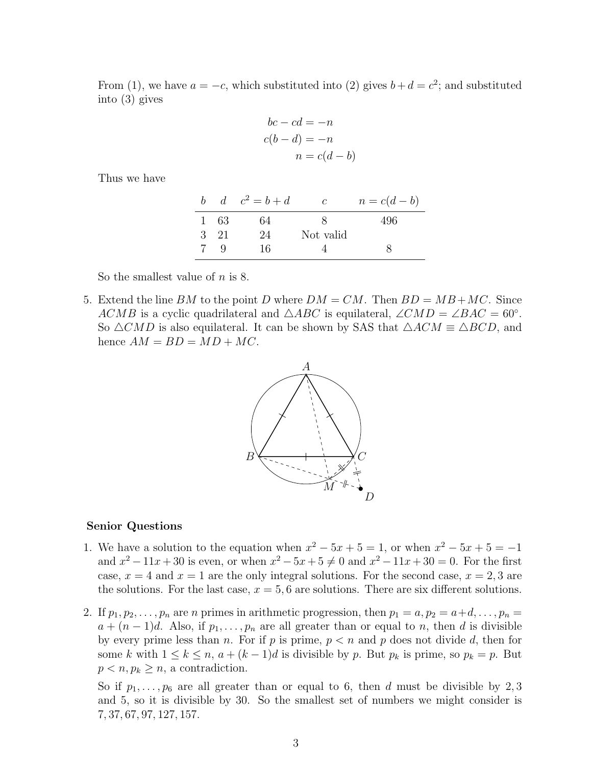From (1), we have  $a = -c$ , which substituted into (2) gives  $b + d = c^2$ ; and substituted into (3) gives

$$
bc - cd = -n
$$

$$
c(b - d) = -n
$$

$$
n = c(d - b)
$$

Thus we have

|  |      | b $d \quad c^2 = b + d$ | $\mathcal{C}$ | $n = c(d-b)$ |
|--|------|-------------------------|---------------|--------------|
|  | 1 63 | 64                      |               | 496          |
|  | 3 21 | 24                      | Not valid     |              |
|  | Q.   | 16                      |               |              |

So the smallest value of  $n$  is 8.

5. Extend the line BM to the point D where  $DM = CM$ . Then  $BD = MB + MC$ . Since ACMB is a cyclic quadrilateral and  $\triangle ABC$  is equilateral,  $\angle CMD = \angle BAC = 60°$ . So  $\triangle CMD$  is also equilateral. It can be shown by SAS that  $\triangle ACM \equiv \triangle BCD$ , and hence  $AM = BD = MD + MC$ .



## Senior Questions

- 1. We have a solution to the equation when  $x^2 5x + 5 = 1$ , or when  $x^2 5x + 5 = -1$ and  $x^2 - 11x + 30$  is even, or when  $x^2 - 5x + 5 \neq 0$  and  $x^2 - 11x + 30 = 0$ . For the first case,  $x = 4$  and  $x = 1$  are the only integral solutions. For the second case,  $x = 2, 3$  are the solutions. For the last case,  $x = 5, 6$  are solutions. There are six different solutions.
- 2. If  $p_1, p_2, \ldots, p_n$  are n primes in arithmetic progression, then  $p_1 = a, p_2 = a+d, \ldots, p_n =$  $a + (n-1)d$ . Also, if  $p_1, \ldots, p_n$  are all greater than or equal to n, then d is divisible by every prime less than n. For if p is prime,  $p < n$  and p does not divide d, then for some k with  $1 \leq k \leq n$ ,  $a + (k-1)d$  is divisible by p. But  $p_k$  is prime, so  $p_k = p$ . But  $p < n, p_k \geq n$ , a contradiction.

So if  $p_1, \ldots, p_6$  are all greater than or equal to 6, then d must be divisible by 2,3 and 5, so it is divisible by 30. So the smallest set of numbers we might consider is 7, 37, 67, 97, 127, 157.